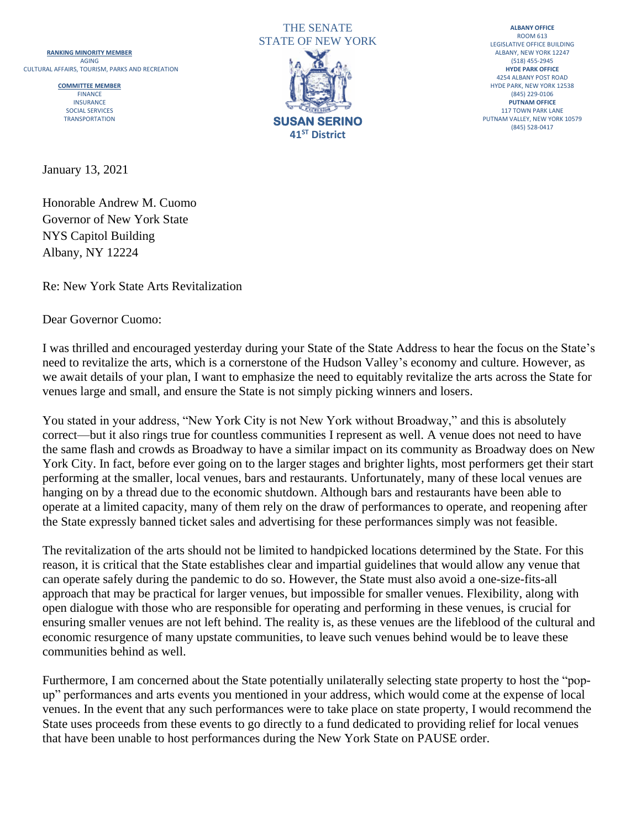



**ALBANY OFFICE** ROOM 613 LEGISLATIVE OFFICE BUILDING<br>ALBANY, NEW YORK 12247 4254 ALBANY POST ROAD<br>HYDE PARK, NEW YORK 12538 (845) 528-0417

January 13, 2021

Honorable Andrew M. Cuomo Governor of New York State NYS Capitol Building Albany, NY 12224

Re: New York State Arts Revitalization

Dear Governor Cuomo:

I was thrilled and encouraged yesterday during your State of the State Address to hear the focus on the State's need to revitalize the arts, which is a cornerstone of the Hudson Valley's economy and culture. However, as we await details of your plan, I want to emphasize the need to equitably revitalize the arts across the State for venues large and small, and ensure the State is not simply picking winners and losers.

You stated in your address, "New York City is not New York without Broadway," and this is absolutely correct—but it also rings true for countless communities I represent as well. A venue does not need to have the same flash and crowds as Broadway to have a similar impact on its community as Broadway does on New York City. In fact, before ever going on to the larger stages and brighter lights, most performers get their start performing at the smaller, local venues, bars and restaurants. Unfortunately, many of these local venues are hanging on by a thread due to the economic shutdown. Although bars and restaurants have been able to operate at a limited capacity, many of them rely on the draw of performances to operate, and reopening after the State expressly banned ticket sales and advertising for these performances simply was not feasible.

The revitalization of the arts should not be limited to handpicked locations determined by the State. For this reason, it is critical that the State establishes clear and impartial guidelines that would allow any venue that can operate safely during the pandemic to do so. However, the State must also avoid a one-size-fits-all approach that may be practical for larger venues, but impossible for smaller venues. Flexibility, along with open dialogue with those who are responsible for operating and performing in these venues, is crucial for ensuring smaller venues are not left behind. The reality is, as these venues are the lifeblood of the cultural and economic resurgence of many upstate communities, to leave such venues behind would be to leave these communities behind as well.

Furthermore, I am concerned about the State potentially unilaterally selecting state property to host the "popup" performances and arts events you mentioned in your address, which would come at the expense of local venues. In the event that any such performances were to take place on state property, I would recommend the State uses proceeds from these events to go directly to a fund dedicated to providing relief for local venues that have been unable to host performances during the New York State on PAUSE order.